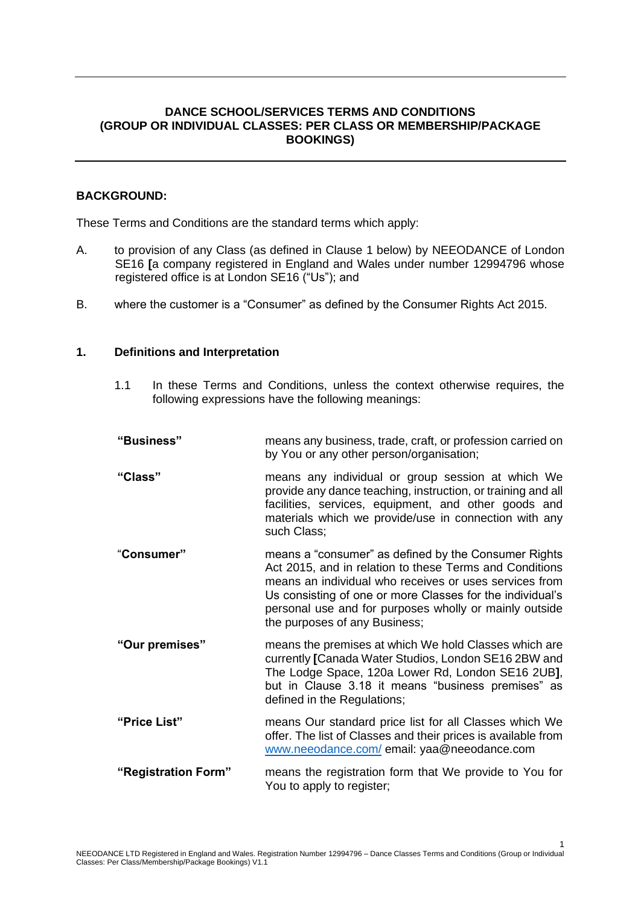# **DANCE SCHOOL/SERVICES TERMS AND CONDITIONS (GROUP OR INDIVIDUAL CLASSES: PER CLASS OR MEMBERSHIP/PACKAGE BOOKINGS)**

## **BACKGROUND:**

These Terms and Conditions are the standard terms which apply:

- A. to provision of any Class (as defined in Clause 1 below) by NEEODANCE of London SE16 **[**a company registered in England and Wales under number 12994796 whose registered office is at London SE16 ("Us"); and
- B. where the customer is a "Consumer" as defined by the Consumer Rights Act 2015.

### **1. Definitions and Interpretation**

1.1 In these Terms and Conditions, unless the context otherwise requires, the following expressions have the following meanings:

| "Business"          | means any business, trade, craft, or profession carried on<br>by You or any other person/organisation;                                                                                                                                                                                                                            |
|---------------------|-----------------------------------------------------------------------------------------------------------------------------------------------------------------------------------------------------------------------------------------------------------------------------------------------------------------------------------|
| "Class"             | means any individual or group session at which We<br>provide any dance teaching, instruction, or training and all<br>facilities, services, equipment, and other goods and<br>materials which we provide/use in connection with any<br>such Class;                                                                                 |
| "Consumer"          | means a "consumer" as defined by the Consumer Rights<br>Act 2015, and in relation to these Terms and Conditions<br>means an individual who receives or uses services from<br>Us consisting of one or more Classes for the individual's<br>personal use and for purposes wholly or mainly outside<br>the purposes of any Business; |
| "Our premises"      | means the premises at which We hold Classes which are<br>currently [Canada Water Studios, London SE16 2BW and<br>The Lodge Space, 120a Lower Rd, London SE16 2UB],<br>but in Clause 3.18 it means "business premises" as<br>defined in the Regulations;                                                                           |
| "Price List"        | means Our standard price list for all Classes which We<br>offer. The list of Classes and their prices is available from<br>www.neeodance.com/email: yaa@neeodance.com                                                                                                                                                             |
| "Registration Form" | means the registration form that We provide to You for<br>You to apply to register;                                                                                                                                                                                                                                               |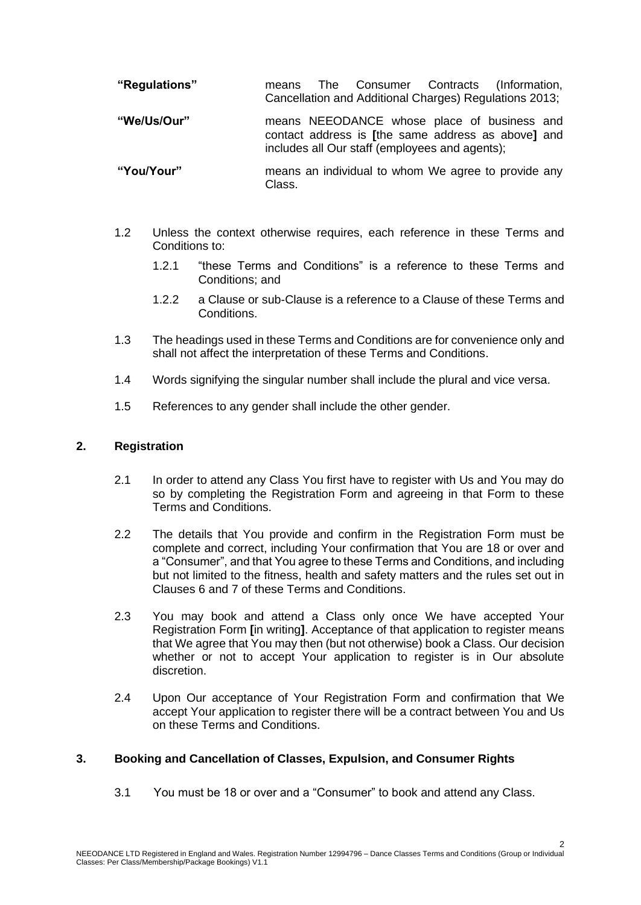| "Regulations" | means | The |  | Consumer Contracts (Information,                       |
|---------------|-------|-----|--|--------------------------------------------------------|
|               |       |     |  | Cancellation and Additional Charges) Regulations 2013; |

**"We/Us/Our"** means NEEODANCE whose place of business and contact address is **[**the same address as above**]** and includes all Our staff (employees and agents);

```
"You/Your" means an individual to whom We agree to provide any 
         Class.
```
- 1.2 Unless the context otherwise requires, each reference in these Terms and Conditions to:
	- 1.2.1 "these Terms and Conditions" is a reference to these Terms and Conditions; and
	- 1.2.2 a Clause or sub-Clause is a reference to a Clause of these Terms and Conditions.
- 1.3 The headings used in these Terms and Conditions are for convenience only and shall not affect the interpretation of these Terms and Conditions.
- 1.4 Words signifying the singular number shall include the plural and vice versa.
- 1.5 References to any gender shall include the other gender.

### **2. Registration**

- 2.1 In order to attend any Class You first have to register with Us and You may do so by completing the Registration Form and agreeing in that Form to these Terms and Conditions.
- 2.2 The details that You provide and confirm in the Registration Form must be complete and correct, including Your confirmation that You are 18 or over and a "Consumer", and that You agree to these Terms and Conditions, and including but not limited to the fitness, health and safety matters and the rules set out in Clauses 6 and 7 of these Terms and Conditions.
- 2.3 You may book and attend a Class only once We have accepted Your Registration Form **[**in writing**]**. Acceptance of that application to register means that We agree that You may then (but not otherwise) book a Class. Our decision whether or not to accept Your application to register is in Our absolute discretion.
- 2.4 Upon Our acceptance of Your Registration Form and confirmation that We accept Your application to register there will be a contract between You and Us on these Terms and Conditions.

## **3. Booking and Cancellation of Classes, Expulsion, and Consumer Rights**

3.1 You must be 18 or over and a "Consumer" to book and attend any Class.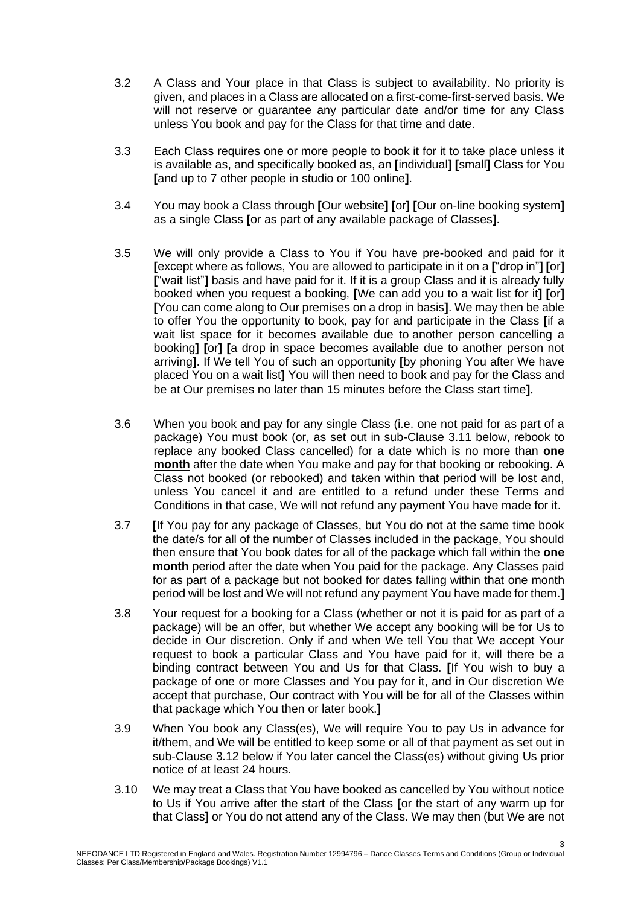- 3.2 A Class and Your place in that Class is subject to availability. No priority is given, and places in a Class are allocated on a first-come-first-served basis. We will not reserve or guarantee any particular date and/or time for any Class unless You book and pay for the Class for that time and date.
- 3.3 Each Class requires one or more people to book it for it to take place unless it is available as, and specifically booked as, an **[**individual**] [**small**]** Class for You **[**and up to 7 other people in studio or 100 online**]**.
- 3.4 You may book a Class through **[**Our website**] [**or**] [**Our on-line booking system**]** as a single Class **[**or as part of any available package of Classes**]**.
- 3.5 We will only provide a Class to You if You have pre-booked and paid for it **[**except where as follows, You are allowed to participate in it on a **[**"drop in"**] [**or**] [**"wait list"**]** basis and have paid for it. If it is a group Class and it is already fully booked when you request a booking, **[**We can add you to a wait list for it**] [**or**] [**You can come along to Our premises on a drop in basis**]**. We may then be able to offer You the opportunity to book, pay for and participate in the Class **[**if a wait list space for it becomes available due to another person cancelling a booking**] [**or**] [**a drop in space becomes available due to another person not arriving**]**. If We tell You of such an opportunity **[**by phoning You after We have placed You on a wait list**]** You will then need to book and pay for the Class and be at Our premises no later than 15 minutes before the Class start time**]**.
- 3.6 When you book and pay for any single Class (i.e. one not paid for as part of a package) You must book (or, as set out in sub-Clause 3.11 below, rebook to replace any booked Class cancelled) for a date which is no more than **one month** after the date when You make and pay for that booking or rebooking. A Class not booked (or rebooked) and taken within that period will be lost and, unless You cancel it and are entitled to a refund under these Terms and Conditions in that case, We will not refund any payment You have made for it.
- 3.7 **[**If You pay for any package of Classes, but You do not at the same time book the date/s for all of the number of Classes included in the package, You should then ensure that You book dates for all of the package which fall within the **one month** period after the date when You paid for the package. Any Classes paid for as part of a package but not booked for dates falling within that one month period will be lost and We will not refund any payment You have made for them.**]**
- 3.8 Your request for a booking for a Class (whether or not it is paid for as part of a package) will be an offer, but whether We accept any booking will be for Us to decide in Our discretion. Only if and when We tell You that We accept Your request to book a particular Class and You have paid for it, will there be a binding contract between You and Us for that Class. **[**If You wish to buy a package of one or more Classes and You pay for it, and in Our discretion We accept that purchase, Our contract with You will be for all of the Classes within that package which You then or later book.**]**
- 3.9 When You book any Class(es), We will require You to pay Us in advance for it/them, and We will be entitled to keep some or all of that payment as set out in sub-Clause 3.12 below if You later cancel the Class(es) without giving Us prior notice of at least 24 hours.
- 3.10 We may treat a Class that You have booked as cancelled by You without notice to Us if You arrive after the start of the Class **[**or the start of any warm up for that Class**]** or You do not attend any of the Class. We may then (but We are not

3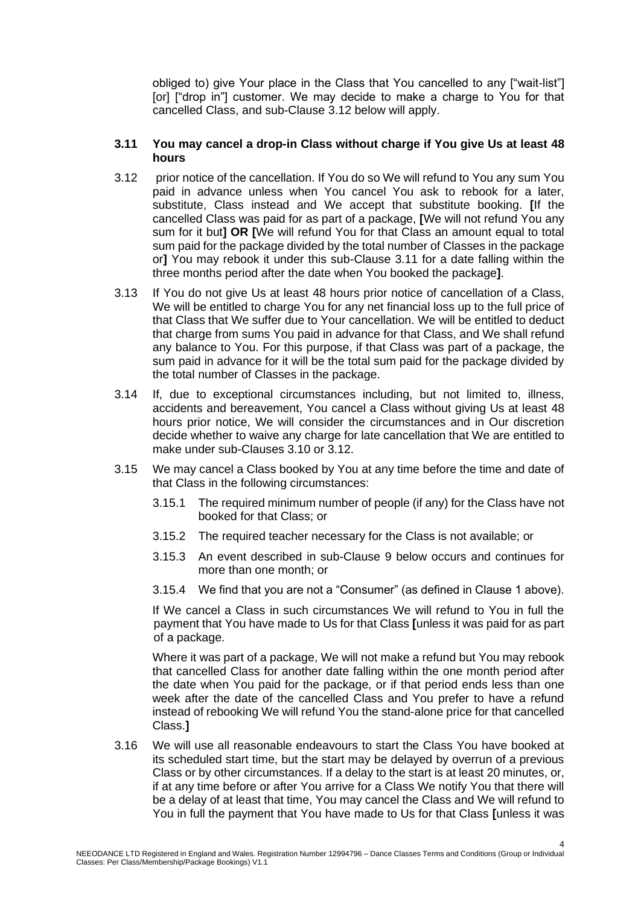obliged to) give Your place in the Class that You cancelled to any ["wait-list"] [or] ["drop in"] customer. We may decide to make a charge to You for that cancelled Class, and sub-Clause 3.12 below will apply.

### **3.11 You may cancel a drop-in Class without charge if You give Us at least 48 hours**

- 3.12 prior notice of the cancellation. If You do so We will refund to You any sum You paid in advance unless when You cancel You ask to rebook for a later, substitute, Class instead and We accept that substitute booking. **[**If the cancelled Class was paid for as part of a package, **[**We will not refund You any sum for it but**] OR [**We will refund You for that Class an amount equal to total sum paid for the package divided by the total number of Classes in the package or**]** You may rebook it under this sub-Clause 3.11 for a date falling within the three months period after the date when You booked the package**]**.
- 3.13 If You do not give Us at least 48 hours prior notice of cancellation of a Class, We will be entitled to charge You for any net financial loss up to the full price of that Class that We suffer due to Your cancellation. We will be entitled to deduct that charge from sums You paid in advance for that Class, and We shall refund any balance to You. For this purpose, if that Class was part of a package, the sum paid in advance for it will be the total sum paid for the package divided by the total number of Classes in the package.
- 3.14 If, due to exceptional circumstances including, but not limited to, illness, accidents and bereavement, You cancel a Class without giving Us at least 48 hours prior notice, We will consider the circumstances and in Our discretion decide whether to waive any charge for late cancellation that We are entitled to make under sub-Clauses 3.10 or 3.12.
- 3.15 We may cancel a Class booked by You at any time before the time and date of that Class in the following circumstances:
	- 3.15.1 The required minimum number of people (if any) for the Class have not booked for that Class; or
	- 3.15.2 The required teacher necessary for the Class is not available; or
	- 3.15.3 An event described in sub-Clause 9 below occurs and continues for more than one month; or
	- 3.15.4 We find that you are not a "Consumer" (as defined in Clause 1 above).

If We cancel a Class in such circumstances We will refund to You in full the payment that You have made to Us for that Class **[**unless it was paid for as part of a package.

Where it was part of a package, We will not make a refund but You may rebook that cancelled Class for another date falling within the one month period after the date when You paid for the package, or if that period ends less than one week after the date of the cancelled Class and You prefer to have a refund instead of rebooking We will refund You the stand-alone price for that cancelled Class.**]**

3.16 We will use all reasonable endeavours to start the Class You have booked at its scheduled start time, but the start may be delayed by overrun of a previous Class or by other circumstances. If a delay to the start is at least 20 minutes, or, if at any time before or after You arrive for a Class We notify You that there will be a delay of at least that time, You may cancel the Class and We will refund to You in full the payment that You have made to Us for that Class **[**unless it was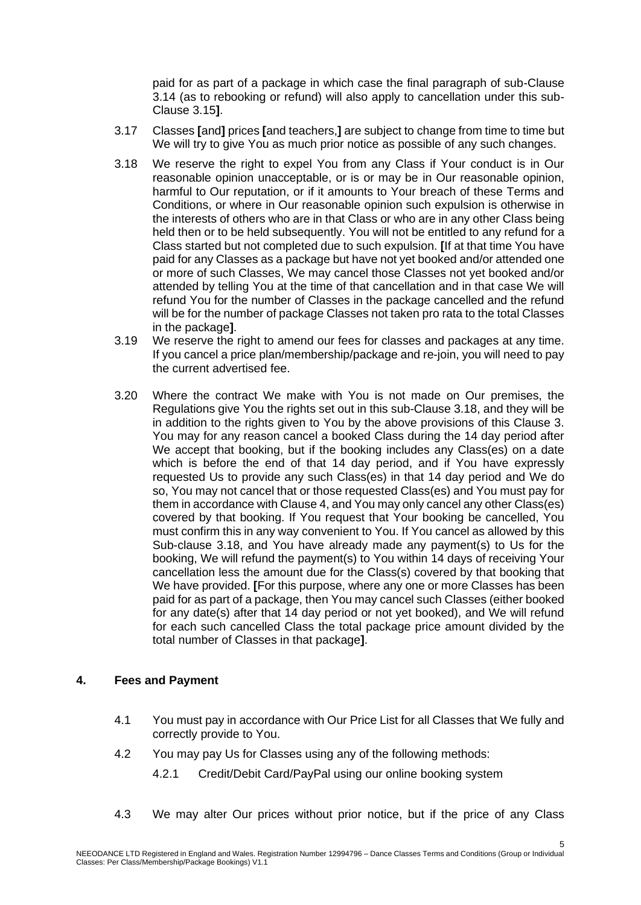paid for as part of a package in which case the final paragraph of sub-Clause 3.14 (as to rebooking or refund) will also apply to cancellation under this sub-Clause 3.15**]**.

- 3.17 Classes **[**and**]** prices **[**and teachers,**]** are subject to change from time to time but We will try to give You as much prior notice as possible of any such changes.
- 3.18 We reserve the right to expel You from any Class if Your conduct is in Our reasonable opinion unacceptable, or is or may be in Our reasonable opinion, harmful to Our reputation, or if it amounts to Your breach of these Terms and Conditions, or where in Our reasonable opinion such expulsion is otherwise in the interests of others who are in that Class or who are in any other Class being held then or to be held subsequently. You will not be entitled to any refund for a Class started but not completed due to such expulsion. **[**If at that time You have paid for any Classes as a package but have not yet booked and/or attended one or more of such Classes, We may cancel those Classes not yet booked and/or attended by telling You at the time of that cancellation and in that case We will refund You for the number of Classes in the package cancelled and the refund will be for the number of package Classes not taken pro rata to the total Classes in the package**]**.
- 3.19 We reserve the right to amend our fees for classes and packages at any time. If you cancel a price plan/membership/package and re-join, you will need to pay the current advertised fee.
- 3.20 Where the contract We make with You is not made on Our premises, the Regulations give You the rights set out in this sub-Clause 3.18, and they will be in addition to the rights given to You by the above provisions of this Clause 3. You may for any reason cancel a booked Class during the 14 day period after We accept that booking, but if the booking includes any Class(es) on a date which is before the end of that 14 day period, and if You have expressly requested Us to provide any such Class(es) in that 14 day period and We do so, You may not cancel that or those requested Class(es) and You must pay for them in accordance with Clause 4, and You may only cancel any other Class(es) covered by that booking. If You request that Your booking be cancelled, You must confirm this in any way convenient to You. If You cancel as allowed by this Sub-clause 3.18, and You have already made any payment(s) to Us for the booking, We will refund the payment(s) to You within 14 days of receiving Your cancellation less the amount due for the Class(s) covered by that booking that We have provided. **[**For this purpose, where any one or more Classes has been paid for as part of a package, then You may cancel such Classes (either booked for any date(s) after that 14 day period or not yet booked), and We will refund for each such cancelled Class the total package price amount divided by the total number of Classes in that package**]**.

## **4. Fees and Payment**

- 4.1 You must pay in accordance with Our Price List for all Classes that We fully and correctly provide to You.
- 4.2 You may pay Us for Classes using any of the following methods:
	- 4.2.1 Credit/Debit Card/PayPal using our online booking system
- 4.3 We may alter Our prices without prior notice, but if the price of any Class

5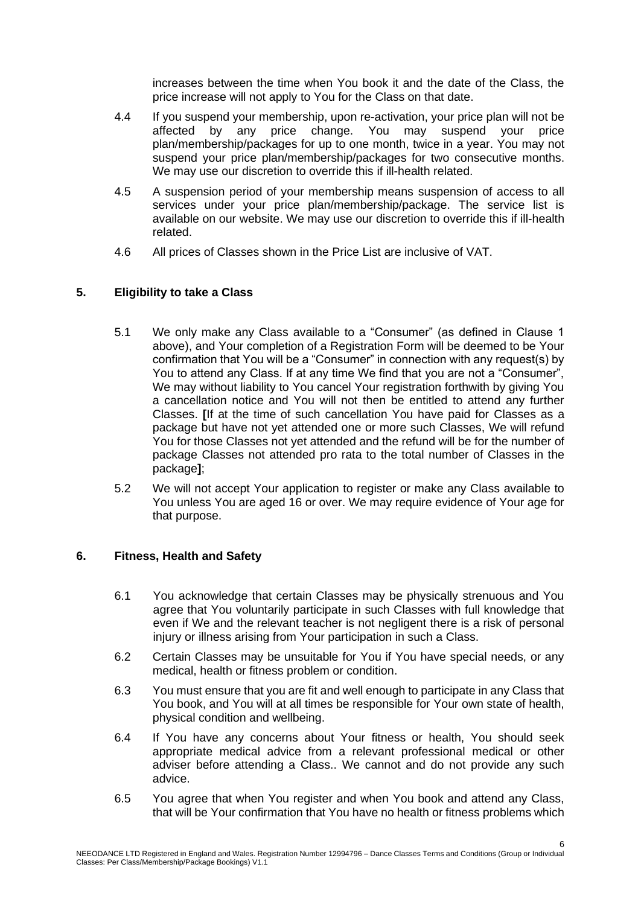increases between the time when You book it and the date of the Class, the price increase will not apply to You for the Class on that date.

- 4.4 If you suspend your membership, upon re-activation, your price plan will not be affected by any price change. You may suspend your price plan/membership/packages for up to one month, twice in a year. You may not suspend your price plan/membership/packages for two consecutive months. We may use our discretion to override this if ill-health related.
- 4.5 A suspension period of your membership means suspension of access to all services under your price plan/membership/package. The service list is available on our website. We may use our discretion to override this if ill-health related.
- 4.6 All prices of Classes shown in the Price List are inclusive of VAT.

# **5. Eligibility to take a Class**

- 5.1 We only make any Class available to a "Consumer" (as defined in Clause 1 above), and Your completion of a Registration Form will be deemed to be Your confirmation that You will be a "Consumer" in connection with any request(s) by You to attend any Class. If at any time We find that you are not a "Consumer", We may without liability to You cancel Your registration forthwith by giving You a cancellation notice and You will not then be entitled to attend any further Classes. **[**If at the time of such cancellation You have paid for Classes as a package but have not yet attended one or more such Classes, We will refund You for those Classes not yet attended and the refund will be for the number of package Classes not attended pro rata to the total number of Classes in the package**]**;
- 5.2 We will not accept Your application to register or make any Class available to You unless You are aged 16 or over. We may require evidence of Your age for that purpose.

## **6. Fitness, Health and Safety**

- 6.1 You acknowledge that certain Classes may be physically strenuous and You agree that You voluntarily participate in such Classes with full knowledge that even if We and the relevant teacher is not negligent there is a risk of personal injury or illness arising from Your participation in such a Class.
- 6.2 Certain Classes may be unsuitable for You if You have special needs, or any medical, health or fitness problem or condition.
- 6.3 You must ensure that you are fit and well enough to participate in any Class that You book, and You will at all times be responsible for Your own state of health, physical condition and wellbeing.
- 6.4 If You have any concerns about Your fitness or health, You should seek appropriate medical advice from a relevant professional medical or other adviser before attending a Class.. We cannot and do not provide any such advice.
- 6.5 You agree that when You register and when You book and attend any Class, that will be Your confirmation that You have no health or fitness problems which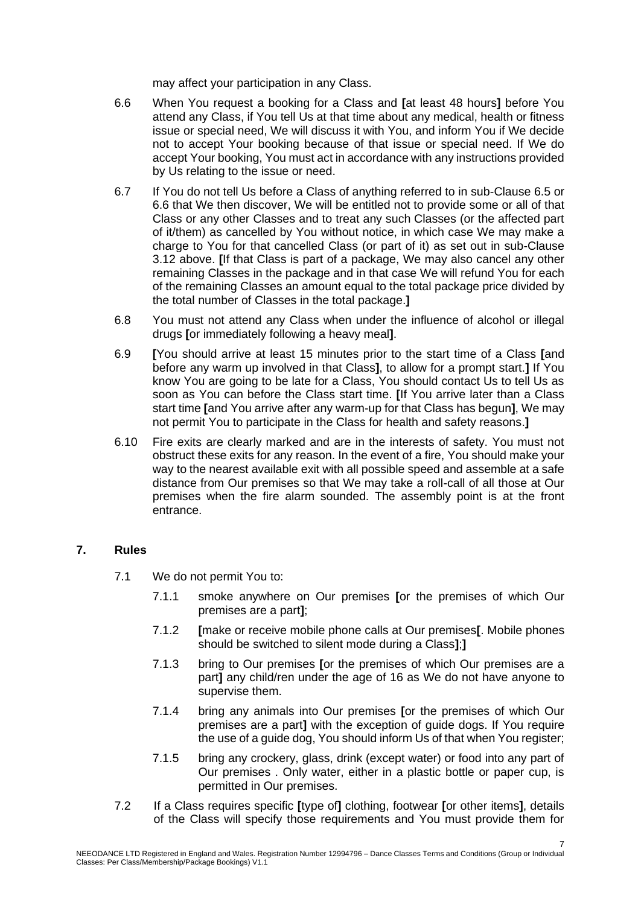may affect your participation in any Class.

- 6.6 When You request a booking for a Class and **[**at least 48 hours**]** before You attend any Class, if You tell Us at that time about any medical, health or fitness issue or special need, We will discuss it with You, and inform You if We decide not to accept Your booking because of that issue or special need. If We do accept Your booking, You must act in accordance with any instructions provided by Us relating to the issue or need.
- 6.7 If You do not tell Us before a Class of anything referred to in sub-Clause 6.5 or 6.6 that We then discover, We will be entitled not to provide some or all of that Class or any other Classes and to treat any such Classes (or the affected part of it/them) as cancelled by You without notice, in which case We may make a charge to You for that cancelled Class (or part of it) as set out in sub-Clause 3.12 above. **[**If that Class is part of a package, We may also cancel any other remaining Classes in the package and in that case We will refund You for each of the remaining Classes an amount equal to the total package price divided by the total number of Classes in the total package.**]**
- 6.8 You must not attend any Class when under the influence of alcohol or illegal drugs **[**or immediately following a heavy meal**]**.
- 6.9 **[**You should arrive at least 15 minutes prior to the start time of a Class **[**and before any warm up involved in that Class**]**, to allow for a prompt start.**]** If You know You are going to be late for a Class, You should contact Us to tell Us as soon as You can before the Class start time. **[**If You arrive later than a Class start time **[**and You arrive after any warm-up for that Class has begun**]**, We may not permit You to participate in the Class for health and safety reasons.**]**
- 6.10 Fire exits are clearly marked and are in the interests of safety. You must not obstruct these exits for any reason. In the event of a fire, You should make your way to the nearest available exit with all possible speed and assemble at a safe distance from Our premises so that We may take a roll-call of all those at Our premises when the fire alarm sounded. The assembly point is at the front entrance.

## **7. Rules**

- 7.1 We do not permit You to:
	- 7.1.1 smoke anywhere on Our premises **[**or the premises of which Our premises are a part**]**;
	- 7.1.2 **[**make or receive mobile phone calls at Our premises**[**. Mobile phones should be switched to silent mode during a Class**]**;**]**
	- 7.1.3 bring to Our premises **[**or the premises of which Our premises are a part**]** any child/ren under the age of 16 as We do not have anyone to supervise them.
	- 7.1.4 bring any animals into Our premises **[**or the premises of which Our premises are a part**]** with the exception of guide dogs. If You require the use of a guide dog, You should inform Us of that when You register;
	- 7.1.5 bring any crockery, glass, drink (except water) or food into any part of Our premises . Only water, either in a plastic bottle or paper cup, is permitted in Our premises.
- 7.2 If a Class requires specific **[**type of**]** clothing, footwear **[**or other items**]**, details of the Class will specify those requirements and You must provide them for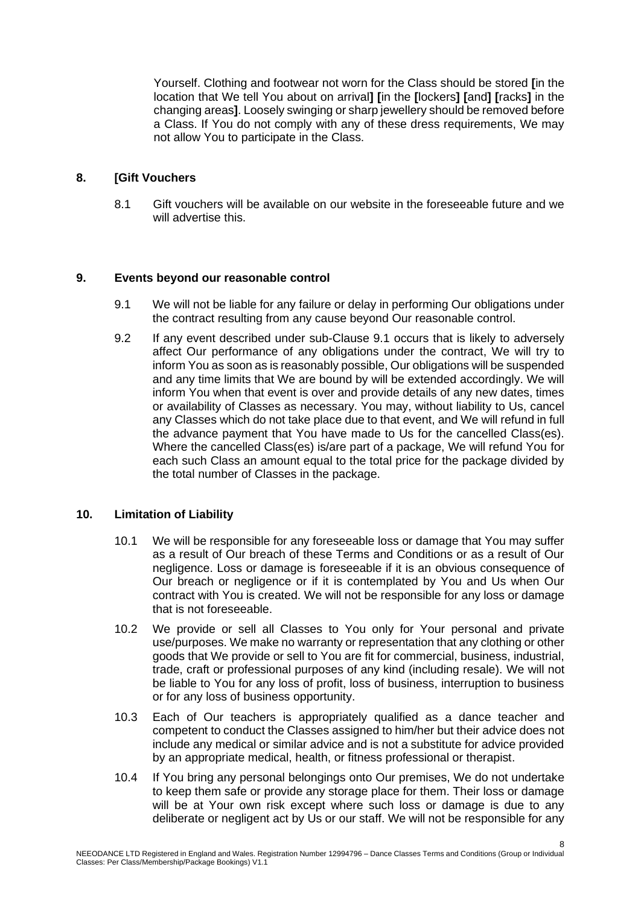Yourself. Clothing and footwear not worn for the Class should be stored **[**in the location that We tell You about on arrival**] [**in the **[**lockers**] [**and**] [**racks**]** in the changing areas**]**. Loosely swinging or sharp jewellery should be removed before a Class. If You do not comply with any of these dress requirements, We may not allow You to participate in the Class.

### **8. [Gift Vouchers**

8.1 Gift vouchers will be available on our website in the foreseeable future and we will advertise this.

### **9. Events beyond our reasonable control**

- 9.1 We will not be liable for any failure or delay in performing Our obligations under the contract resulting from any cause beyond Our reasonable control.
- 9.2 If any event described under sub-Clause 9.1 occurs that is likely to adversely affect Our performance of any obligations under the contract, We will try to inform You as soon as is reasonably possible, Our obligations will be suspended and any time limits that We are bound by will be extended accordingly. We will inform You when that event is over and provide details of any new dates, times or availability of Classes as necessary. You may, without liability to Us, cancel any Classes which do not take place due to that event, and We will refund in full the advance payment that You have made to Us for the cancelled Class(es). Where the cancelled Class(es) is/are part of a package, We will refund You for each such Class an amount equal to the total price for the package divided by the total number of Classes in the package.

## **10. Limitation of Liability**

- 10.1 We will be responsible for any foreseeable loss or damage that You may suffer as a result of Our breach of these Terms and Conditions or as a result of Our negligence. Loss or damage is foreseeable if it is an obvious consequence of Our breach or negligence or if it is contemplated by You and Us when Our contract with You is created. We will not be responsible for any loss or damage that is not foreseeable.
- 10.2 We provide or sell all Classes to You only for Your personal and private use/purposes. We make no warranty or representation that any clothing or other goods that We provide or sell to You are fit for commercial, business, industrial, trade, craft or professional purposes of any kind (including resale). We will not be liable to You for any loss of profit, loss of business, interruption to business or for any loss of business opportunity.
- 10.3 Each of Our teachers is appropriately qualified as a dance teacher and competent to conduct the Classes assigned to him/her but their advice does not include any medical or similar advice and is not a substitute for advice provided by an appropriate medical, health, or fitness professional or therapist.
- 10.4 If You bring any personal belongings onto Our premises, We do not undertake to keep them safe or provide any storage place for them. Their loss or damage will be at Your own risk except where such loss or damage is due to any deliberate or negligent act by Us or our staff. We will not be responsible for any

8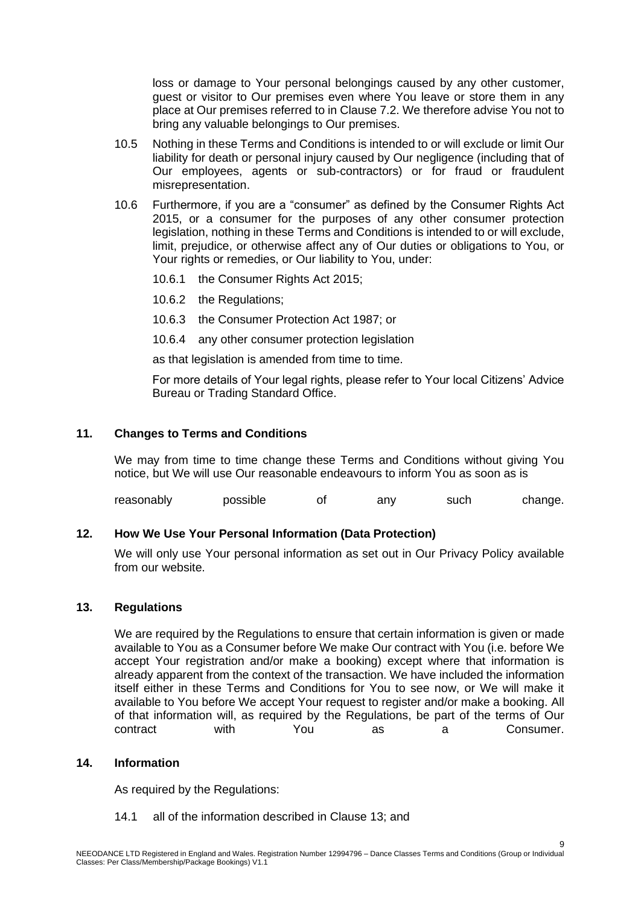loss or damage to Your personal belongings caused by any other customer, guest or visitor to Our premises even where You leave or store them in any place at Our premises referred to in Clause 7.2. We therefore advise You not to bring any valuable belongings to Our premises.

- 10.5 Nothing in these Terms and Conditions is intended to or will exclude or limit Our liability for death or personal injury caused by Our negligence (including that of Our employees, agents or sub-contractors) or for fraud or fraudulent misrepresentation.
- 10.6 Furthermore, if you are a "consumer" as defined by the Consumer Rights Act 2015, or a consumer for the purposes of any other consumer protection legislation, nothing in these Terms and Conditions is intended to or will exclude, limit, prejudice, or otherwise affect any of Our duties or obligations to You, or Your rights or remedies, or Our liability to You, under:
	- 10.6.1 the Consumer Rights Act 2015;
	- 10.6.2 the Regulations;
	- 10.6.3 the Consumer Protection Act 1987; or
	- 10.6.4 any other consumer protection legislation

as that legislation is amended from time to time.

For more details of Your legal rights, please refer to Your local Citizens' Advice Bureau or Trading Standard Office.

### **11. Changes to Terms and Conditions**

We may from time to time change these Terms and Conditions without giving You notice, but We will use Our reasonable endeavours to inform You as soon as is

reasonably possible of any such change.

## **12. How We Use Your Personal Information (Data Protection)**

We will only use Your personal information as set out in Our Privacy Policy available from our website.

#### **13. Regulations**

We are required by the Regulations to ensure that certain information is given or made available to You as a Consumer before We make Our contract with You (i.e. before We accept Your registration and/or make a booking) except where that information is already apparent from the context of the transaction. We have included the information itself either in these Terms and Conditions for You to see now, or We will make it available to You before We accept Your request to register and/or make a booking. All of that information will, as required by the Regulations, be part of the terms of Our contract with You as a Consumer.

#### **14. Information**

As required by the Regulations:

14.1 all of the information described in Clause 13; and